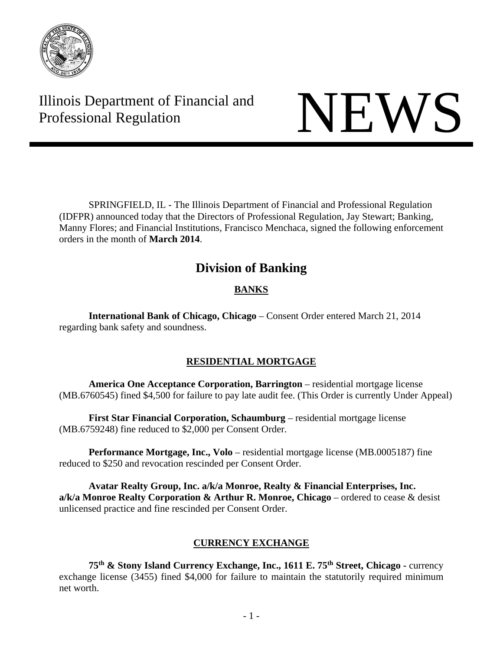

Illinois Department of Financial and Illinois Department of Financial and<br>Professional Regulation

 SPRINGFIELD, IL - The Illinois Department of Financial and Professional Regulation (IDFPR) announced today that the Directors of Professional Regulation, Jay Stewart; Banking, Manny Flores; and Financial Institutions, Francisco Menchaca, signed the following enforcement orders in the month of **March 2014**.

# **Division of Banking**

# **BANKS**

 **International Bank of Chicago, Chicago** – Consent Order entered March 21, 2014 regarding bank safety and soundness.

# **RESIDENTIAL MORTGAGE**

**America One Acceptance Corporation, Barrington** – residential mortgage license (MB.6760545) fined \$4,500 for failure to pay late audit fee. (This Order is currently Under Appeal)

 **First Star Financial Corporation, Schaumburg** – residential mortgage license (MB.6759248) fine reduced to \$2,000 per Consent Order.

**Performance Mortgage, Inc., Volo** – residential mortgage license (MB.0005187) fine reduced to \$250 and revocation rescinded per Consent Order.

**Avatar Realty Group, Inc. a/k/a Monroe, Realty & Financial Enterprises, Inc. a/k/a Monroe Realty Corporation & Arthur R. Monroe, Chicago** – ordered to cease & desist unlicensed practice and fine rescinded per Consent Order.

# **CURRENCY EXCHANGE**

**75th & Stony Island Currency Exchange, Inc., 1611 E. 75th Street, Chicago -** currency exchange license (3455) fined \$4,000 for failure to maintain the statutorily required minimum net worth.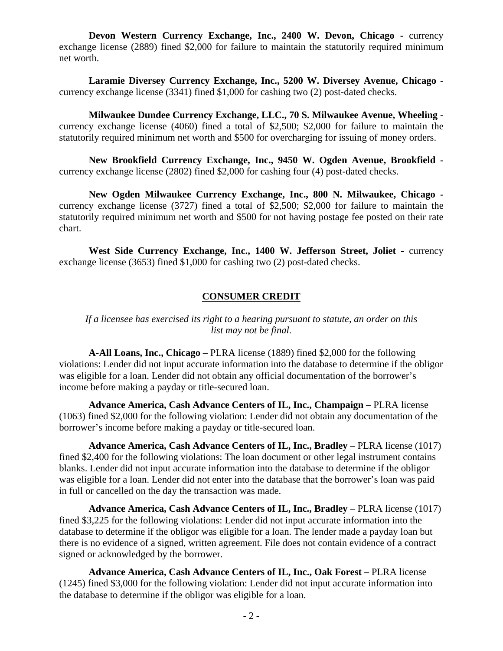**Devon Western Currency Exchange, Inc., 2400 W. Devon, Chicago - currency** exchange license (2889) fined \$2,000 for failure to maintain the statutorily required minimum net worth.

**Laramie Diversey Currency Exchange, Inc., 5200 W. Diversey Avenue, Chicago**  currency exchange license (3341) fined \$1,000 for cashing two (2) post-dated checks.

**Milwaukee Dundee Currency Exchange, LLC., 70 S. Milwaukee Avenue, Wheeling**  currency exchange license (4060) fined a total of \$2,500; \$2,000 for failure to maintain the statutorily required minimum net worth and \$500 for overcharging for issuing of money orders.

**New Brookfield Currency Exchange, Inc., 9450 W. Ogden Avenue, Brookfield**  currency exchange license (2802) fined \$2,000 for cashing four (4) post-dated checks.

**New Ogden Milwaukee Currency Exchange, Inc., 800 N. Milwaukee, Chicago**  currency exchange license (3727) fined a total of \$2,500; \$2,000 for failure to maintain the statutorily required minimum net worth and \$500 for not having postage fee posted on their rate chart.

West Side Currency Exchange, Inc., 1400 W. Jefferson Street, Joliet - currency exchange license (3653) fined \$1,000 for cashing two (2) post-dated checks.

# **CONSUMER CREDIT**

*If a licensee has exercised its right to a hearing pursuant to statute, an order on this list may not be final.*

**A-All Loans, Inc., Chicago** – PLRA license (1889) fined \$2,000 for the following violations: Lender did not input accurate information into the database to determine if the obligor was eligible for a loan. Lender did not obtain any official documentation of the borrower's income before making a payday or title-secured loan.

**Advance America, Cash Advance Centers of IL, Inc., Champaign –** PLRA license (1063) fined \$2,000 for the following violation: Lender did not obtain any documentation of the borrower's income before making a payday or title-secured loan.

**Advance America, Cash Advance Centers of IL, Inc., Bradley – PLRA license (1017)** fined \$2,400 for the following violations: The loan document or other legal instrument contains blanks. Lender did not input accurate information into the database to determine if the obligor was eligible for a loan. Lender did not enter into the database that the borrower's loan was paid in full or cancelled on the day the transaction was made.

**Advance America, Cash Advance Centers of IL, Inc., Bradley – PLRA license (1017)** fined \$3,225 for the following violations: Lender did not input accurate information into the database to determine if the obligor was eligible for a loan. The lender made a payday loan but there is no evidence of a signed, written agreement. File does not contain evidence of a contract signed or acknowledged by the borrower.

**Advance America, Cash Advance Centers of IL, Inc., Oak Forest –** PLRA license (1245) fined \$3,000 for the following violation: Lender did not input accurate information into the database to determine if the obligor was eligible for a loan.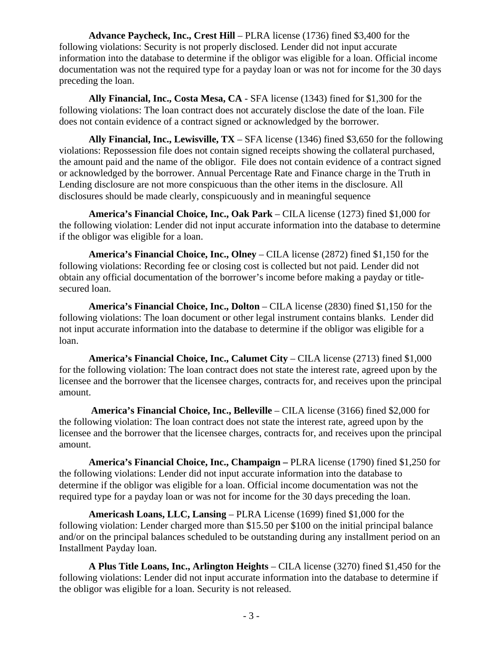**Advance Paycheck, Inc., Crest Hill** – PLRA license (1736) fined \$3,400 for the following violations: Security is not properly disclosed. Lender did not input accurate information into the database to determine if the obligor was eligible for a loan. Official income documentation was not the required type for a payday loan or was not for income for the 30 days preceding the loan.

**Ally Financial, Inc., Costa Mesa, CA** - SFA license (1343) fined for \$1,300 for the following violations: The loan contract does not accurately disclose the date of the loan. File does not contain evidence of a contract signed or acknowledged by the borrower.

**Ally Financial, Inc., Lewisville, TX** – SFA license (1346) fined \$3,650 for the following violations: Repossession file does not contain signed receipts showing the collateral purchased, the amount paid and the name of the obligor. File does not contain evidence of a contract signed or acknowledged by the borrower. Annual Percentage Rate and Finance charge in the Truth in Lending disclosure are not more conspicuous than the other items in the disclosure. All disclosures should be made clearly, conspicuously and in meaningful sequence

**America's Financial Choice, Inc., Oak Park** – CILA license (1273) fined \$1,000 for the following violation: Lender did not input accurate information into the database to determine if the obligor was eligible for a loan.

**America's Financial Choice, Inc., Olney** – CILA license (2872) fined \$1,150 for the following violations: Recording fee or closing cost is collected but not paid. Lender did not obtain any official documentation of the borrower's income before making a payday or titlesecured loan.

**America's Financial Choice, Inc., Dolton** – CILA license (2830) fined \$1,150 for the following violations: The loan document or other legal instrument contains blanks. Lender did not input accurate information into the database to determine if the obligor was eligible for a loan.

**America's Financial Choice, Inc., Calumet City** – CILA license (2713) fined \$1,000 for the following violation: The loan contract does not state the interest rate, agreed upon by the licensee and the borrower that the licensee charges, contracts for, and receives upon the principal amount.

 **America's Financial Choice, Inc., Belleville** – CILA license (3166) fined \$2,000 for the following violation: The loan contract does not state the interest rate, agreed upon by the licensee and the borrower that the licensee charges, contracts for, and receives upon the principal amount.

**America's Financial Choice, Inc., Champaign –** PLRA license (1790) fined \$1,250 for the following violations: Lender did not input accurate information into the database to determine if the obligor was eligible for a loan. Official income documentation was not the required type for a payday loan or was not for income for the 30 days preceding the loan.

**Americash Loans, LLC, Lansing** – PLRA License (1699) fined \$1,000 for the following violation: Lender charged more than \$15.50 per \$100 on the initial principal balance and/or on the principal balances scheduled to be outstanding during any installment period on an Installment Payday loan.

**A Plus Title Loans, Inc., Arlington Heights** – CILA license (3270) fined \$1,450 for the following violations: Lender did not input accurate information into the database to determine if the obligor was eligible for a loan. Security is not released.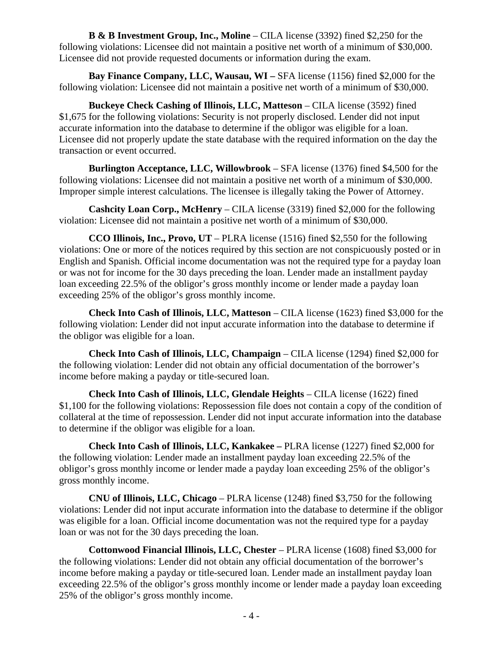**B & B Investment Group, Inc., Moline** – CILA license (3392) fined \$2,250 for the following violations: Licensee did not maintain a positive net worth of a minimum of \$30,000. Licensee did not provide requested documents or information during the exam.

**Bay Finance Company, LLC, Wausau, WI –** SFA license (1156) fined \$2,000 for the following violation: Licensee did not maintain a positive net worth of a minimum of \$30,000.

**Buckeye Check Cashing of Illinois, LLC, Matteson** – CILA license (3592) fined \$1,675 for the following violations: Security is not properly disclosed. Lender did not input accurate information into the database to determine if the obligor was eligible for a loan. Licensee did not properly update the state database with the required information on the day the transaction or event occurred.

**Burlington Acceptance, LLC, Willowbrook** – SFA license (1376) fined \$4,500 for the following violations: Licensee did not maintain a positive net worth of a minimum of \$30,000. Improper simple interest calculations. The licensee is illegally taking the Power of Attorney.

**Cashcity Loan Corp., McHenry** – CILA license (3319) fined \$2,000 for the following violation: Licensee did not maintain a positive net worth of a minimum of \$30,000.

**CCO Illinois, Inc., Provo, UT** – PLRA license (1516) fined \$2,550 for the following violations: One or more of the notices required by this section are not conspicuously posted or in English and Spanish. Official income documentation was not the required type for a payday loan or was not for income for the 30 days preceding the loan. Lender made an installment payday loan exceeding 22.5% of the obligor's gross monthly income or lender made a payday loan exceeding 25% of the obligor's gross monthly income.

**Check Into Cash of Illinois, LLC, Matteson** – CILA license (1623) fined \$3,000 for the following violation: Lender did not input accurate information into the database to determine if the obligor was eligible for a loan.

**Check Into Cash of Illinois, LLC, Champaign** – CILA license (1294) fined \$2,000 for the following violation: Lender did not obtain any official documentation of the borrower's income before making a payday or title-secured loan.

**Check Into Cash of Illinois, LLC, Glendale Heights** – CILA license (1622) fined \$1,100 for the following violations: Repossession file does not contain a copy of the condition of collateral at the time of repossession. Lender did not input accurate information into the database to determine if the obligor was eligible for a loan.

**Check Into Cash of Illinois, LLC, Kankakee –** PLRA license (1227) fined \$2,000 for the following violation: Lender made an installment payday loan exceeding 22.5% of the obligor's gross monthly income or lender made a payday loan exceeding 25% of the obligor's gross monthly income.

**CNU of Illinois, LLC, Chicago** – PLRA license (1248) fined \$3,750 for the following violations: Lender did not input accurate information into the database to determine if the obligor was eligible for a loan. Official income documentation was not the required type for a payday loan or was not for the 30 days preceding the loan.

**Cottonwood Financial Illinois, LLC, Chester** – PLRA license (1608) fined \$3,000 for the following violations: Lender did not obtain any official documentation of the borrower's income before making a payday or title-secured loan. Lender made an installment payday loan exceeding 22.5% of the obligor's gross monthly income or lender made a payday loan exceeding 25% of the obligor's gross monthly income.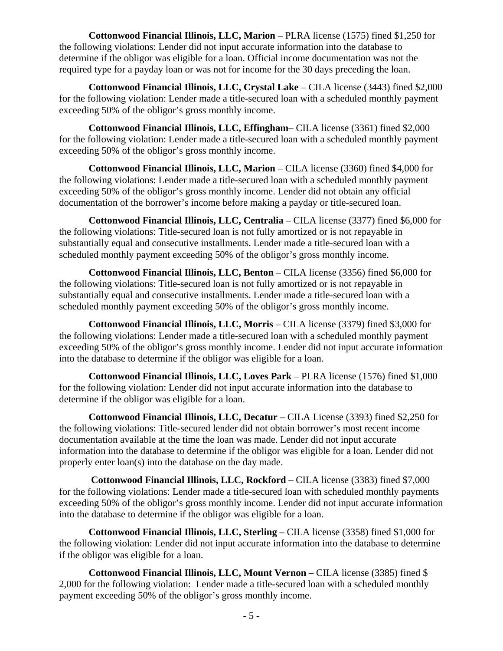**Cottonwood Financial Illinois, LLC, Marion** – PLRA license (1575) fined \$1,250 for the following violations: Lender did not input accurate information into the database to determine if the obligor was eligible for a loan. Official income documentation was not the required type for a payday loan or was not for income for the 30 days preceding the loan.

**Cottonwood Financial Illinois, LLC, Crystal Lake** – CILA license (3443) fined \$2,000 for the following violation: Lender made a title-secured loan with a scheduled monthly payment exceeding 50% of the obligor's gross monthly income.

**Cottonwood Financial Illinois, LLC, Effingham**– CILA license (3361) fined \$2,000 for the following violation: Lender made a title-secured loan with a scheduled monthly payment exceeding 50% of the obligor's gross monthly income.

**Cottonwood Financial Illinois, LLC, Marion** – CILA license (3360) fined \$4,000 for the following violations: Lender made a title-secured loan with a scheduled monthly payment exceeding 50% of the obligor's gross monthly income. Lender did not obtain any official documentation of the borrower's income before making a payday or title-secured loan.

**Cottonwood Financial Illinois, LLC, Centralia** – CILA license (3377) fined \$6,000 for the following violations: Title-secured loan is not fully amortized or is not repayable in substantially equal and consecutive installments. Lender made a title-secured loan with a scheduled monthly payment exceeding 50% of the obligor's gross monthly income.

**Cottonwood Financial Illinois, LLC, Benton** – CILA license (3356) fined \$6,000 for the following violations: Title-secured loan is not fully amortized or is not repayable in substantially equal and consecutive installments. Lender made a title-secured loan with a scheduled monthly payment exceeding 50% of the obligor's gross monthly income.

**Cottonwood Financial Illinois, LLC, Morris** – CILA license (3379) fined \$3,000 for the following violations: Lender made a title-secured loan with a scheduled monthly payment exceeding 50% of the obligor's gross monthly income. Lender did not input accurate information into the database to determine if the obligor was eligible for a loan.

**Cottonwood Financial Illinois, LLC, Loves Park** – PLRA license (1576) fined \$1,000 for the following violation: Lender did not input accurate information into the database to determine if the obligor was eligible for a loan.

**Cottonwood Financial Illinois, LLC, Decatur** – CILA License (3393) fined \$2,250 for the following violations: Title-secured lender did not obtain borrower's most recent income documentation available at the time the loan was made. Lender did not input accurate information into the database to determine if the obligor was eligible for a loan. Lender did not properly enter loan(s) into the database on the day made.

**Cottonwood Financial Illinois, LLC, Rockford** – CILA license (3383) fined \$7,000 for the following violations: Lender made a title-secured loan with scheduled monthly payments exceeding 50% of the obligor's gross monthly income. Lender did not input accurate information into the database to determine if the obligor was eligible for a loan.

**Cottonwood Financial Illinois, LLC, Sterling** – CILA license (3358) fined \$1,000 for the following violation: Lender did not input accurate information into the database to determine if the obligor was eligible for a loan.

**Cottonwood Financial Illinois, LLC, Mount Vernon** – CILA license (3385) fined \$ 2,000 for the following violation: Lender made a title-secured loan with a scheduled monthly payment exceeding 50% of the obligor's gross monthly income.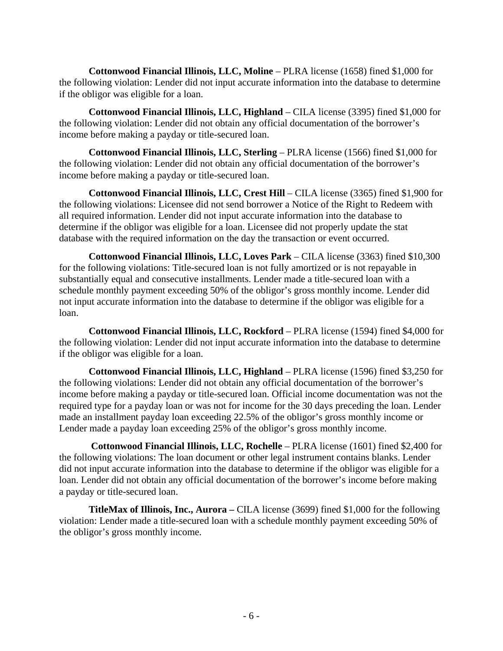**Cottonwood Financial Illinois, LLC, Moline** – PLRA license (1658) fined \$1,000 for the following violation: Lender did not input accurate information into the database to determine if the obligor was eligible for a loan.

**Cottonwood Financial Illinois, LLC, Highland** – CILA license (3395) fined \$1,000 for the following violation: Lender did not obtain any official documentation of the borrower's income before making a payday or title-secured loan.

**Cottonwood Financial Illinois, LLC, Sterling** – PLRA license (1566) fined \$1,000 for the following violation: Lender did not obtain any official documentation of the borrower's income before making a payday or title-secured loan.

**Cottonwood Financial Illinois, LLC, Crest Hill** – CILA license (3365) fined \$1,900 for the following violations: Licensee did not send borrower a Notice of the Right to Redeem with all required information. Lender did not input accurate information into the database to determine if the obligor was eligible for a loan. Licensee did not properly update the stat database with the required information on the day the transaction or event occurred.

**Cottonwood Financial Illinois, LLC, Loves Park** – CILA license (3363) fined \$10,300 for the following violations: Title-secured loan is not fully amortized or is not repayable in substantially equal and consecutive installments. Lender made a title-secured loan with a schedule monthly payment exceeding 50% of the obligor's gross monthly income. Lender did not input accurate information into the database to determine if the obligor was eligible for a loan.

**Cottonwood Financial Illinois, LLC, Rockford** – PLRA license (1594) fined \$4,000 for the following violation: Lender did not input accurate information into the database to determine if the obligor was eligible for a loan.

**Cottonwood Financial Illinois, LLC, Highland** – PLRA license (1596) fined \$3,250 for the following violations: Lender did not obtain any official documentation of the borrower's income before making a payday or title-secured loan. Official income documentation was not the required type for a payday loan or was not for income for the 30 days preceding the loan. Lender made an installment payday loan exceeding 22.5% of the obligor's gross monthly income or Lender made a payday loan exceeding 25% of the obligor's gross monthly income.

 **Cottonwood Financial Illinois, LLC, Rochelle** – PLRA license (1601) fined \$2,400 for the following violations: The loan document or other legal instrument contains blanks. Lender did not input accurate information into the database to determine if the obligor was eligible for a loan. Lender did not obtain any official documentation of the borrower's income before making a payday or title-secured loan.

**TitleMax of Illinois, Inc., Aurora –** CILA license (3699) fined \$1,000 for the following violation: Lender made a title-secured loan with a schedule monthly payment exceeding 50% of the obligor's gross monthly income.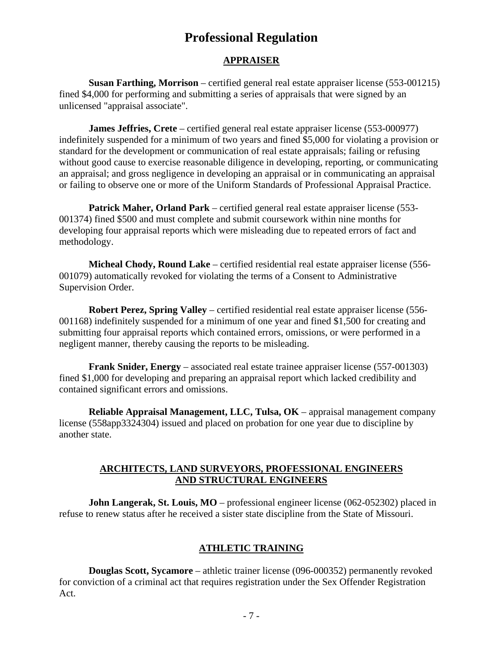# **Professional Regulation**

### **APPRAISER**

**Susan Farthing, Morrison** – certified general real estate appraiser license (553-001215) fined \$4,000 for performing and submitting a series of appraisals that were signed by an unlicensed "appraisal associate".

**James Jeffries, Crete** – certified general real estate appraiser license (553-000977) indefinitely suspended for a minimum of two years and fined \$5,000 for violating a provision or standard for the development or communication of real estate appraisals; failing or refusing without good cause to exercise reasonable diligence in developing, reporting, or communicating an appraisal; and gross negligence in developing an appraisal or in communicating an appraisal or failing to observe one or more of the Uniform Standards of Professional Appraisal Practice.

**Patrick Maher, Orland Park** – certified general real estate appraiser license (553- 001374) fined \$500 and must complete and submit coursework within nine months for developing four appraisal reports which were misleading due to repeated errors of fact and methodology.

**Micheal Chody, Round Lake** – certified residential real estate appraiser license (556- 001079) automatically revoked for violating the terms of a Consent to Administrative Supervision Order.

**Robert Perez, Spring Valley** – certified residential real estate appraiser license (556- 001168) indefinitely suspended for a minimum of one year and fined \$1,500 for creating and submitting four appraisal reports which contained errors, omissions, or were performed in a negligent manner, thereby causing the reports to be misleading.

**Frank Snider, Energy** – associated real estate trainee appraiser license (557-001303) fined \$1,000 for developing and preparing an appraisal report which lacked credibility and contained significant errors and omissions.

**Reliable Appraisal Management, LLC, Tulsa, OK** – appraisal management company license (558app3324304) issued and placed on probation for one year due to discipline by another state.

#### **ARCHITECTS, LAND SURVEYORS, PROFESSIONAL ENGINEERS AND STRUCTURAL ENGINEERS**

**John Langerak, St. Louis, MO** – professional engineer license (062-052302) placed in refuse to renew status after he received a sister state discipline from the State of Missouri.

#### **ATHLETIC TRAINING**

**Douglas Scott, Sycamore** – athletic trainer license (096-000352) permanently revoked for conviction of a criminal act that requires registration under the Sex Offender Registration Act.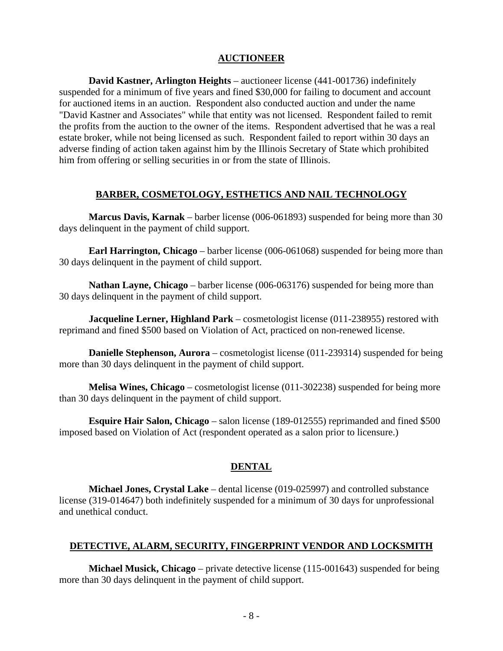#### **AUCTIONEER**

**David Kastner, Arlington Heights** – auctioneer license (441-001736) indefinitely suspended for a minimum of five years and fined \$30,000 for failing to document and account for auctioned items in an auction. Respondent also conducted auction and under the name "David Kastner and Associates" while that entity was not licensed. Respondent failed to remit the profits from the auction to the owner of the items. Respondent advertised that he was a real estate broker, while not being licensed as such. Respondent failed to report within 30 days an adverse finding of action taken against him by the Illinois Secretary of State which prohibited him from offering or selling securities in or from the state of Illinois.

#### **BARBER, COSMETOLOGY, ESTHETICS AND NAIL TECHNOLOGY**

**Marcus Davis, Karnak** – barber license (006-061893) suspended for being more than 30 days delinquent in the payment of child support.

**Earl Harrington, Chicago** – barber license (006-061068) suspended for being more than 30 days delinquent in the payment of child support.

**Nathan Layne, Chicago** – barber license (006-063176) suspended for being more than 30 days delinquent in the payment of child support.

**Jacqueline Lerner, Highland Park** – cosmetologist license (011-238955) restored with reprimand and fined \$500 based on Violation of Act, practiced on non-renewed license.

**Danielle Stephenson, Aurora** – cosmetologist license (011-239314) suspended for being more than 30 days delinquent in the payment of child support.

**Melisa Wines, Chicago** – cosmetologist license (011-302238) suspended for being more than 30 days delinquent in the payment of child support.

**Esquire Hair Salon, Chicago** – salon license (189-012555) reprimanded and fined \$500 imposed based on Violation of Act (respondent operated as a salon prior to licensure.)

#### **DENTAL**

**Michael Jones, Crystal Lake** – dental license (019-025997) and controlled substance license (319-014647) both indefinitely suspended for a minimum of 30 days for unprofessional and unethical conduct.

#### **DETECTIVE, ALARM, SECURITY, FINGERPRINT VENDOR AND LOCKSMITH**

**Michael Musick, Chicago** – private detective license (115-001643) suspended for being more than 30 days delinquent in the payment of child support.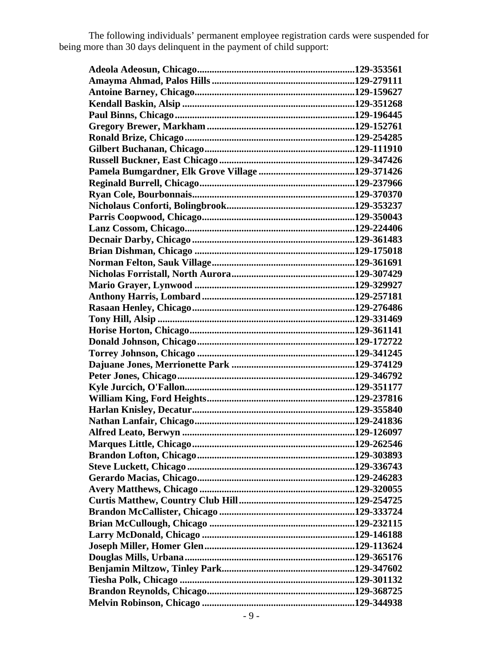The following individuals' permanent employee registration cards were suspended for being more than 30 days delinquent in the payment of child support: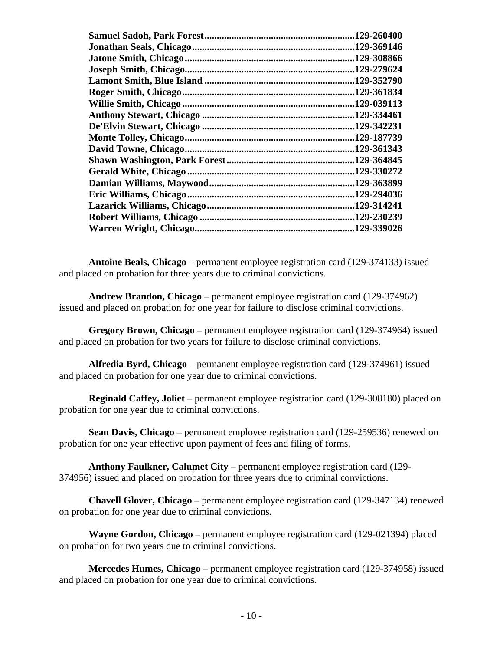|                        | 129-260400  |
|------------------------|-------------|
|                        | .129-369146 |
|                        | .129-308866 |
|                        | .129-279624 |
|                        | .129-352790 |
|                        | .129-361834 |
|                        | .129-039113 |
|                        | .129-334461 |
|                        | .129-342231 |
|                        | .129-187739 |
|                        | .129-361343 |
|                        | .129-364845 |
|                        | .129-330272 |
|                        | .129-363899 |
|                        | .129-294036 |
|                        | .129-314241 |
|                        | .129-230239 |
| Warren Wright, Chicago | .129-339026 |
|                        |             |

**Antoine Beals, Chicago** – permanent employee registration card (129-374133) issued and placed on probation for three years due to criminal convictions.

**Andrew Brandon, Chicago** – permanent employee registration card (129-374962) issued and placed on probation for one year for failure to disclose criminal convictions.

**Gregory Brown, Chicago** – permanent employee registration card (129-374964) issued and placed on probation for two years for failure to disclose criminal convictions.

**Alfredia Byrd, Chicago** – permanent employee registration card (129-374961) issued and placed on probation for one year due to criminal convictions.

**Reginald Caffey, Joliet** – permanent employee registration card (129-308180) placed on probation for one year due to criminal convictions.

**Sean Davis, Chicago** – permanent employee registration card (129-259536) renewed on probation for one year effective upon payment of fees and filing of forms.

**Anthony Faulkner, Calumet City** – permanent employee registration card (129- 374956) issued and placed on probation for three years due to criminal convictions.

**Chavell Glover, Chicago** – permanent employee registration card (129-347134) renewed on probation for one year due to criminal convictions.

**Wayne Gordon, Chicago** – permanent employee registration card (129-021394) placed on probation for two years due to criminal convictions.

**Mercedes Humes, Chicago** – permanent employee registration card (129-374958) issued and placed on probation for one year due to criminal convictions.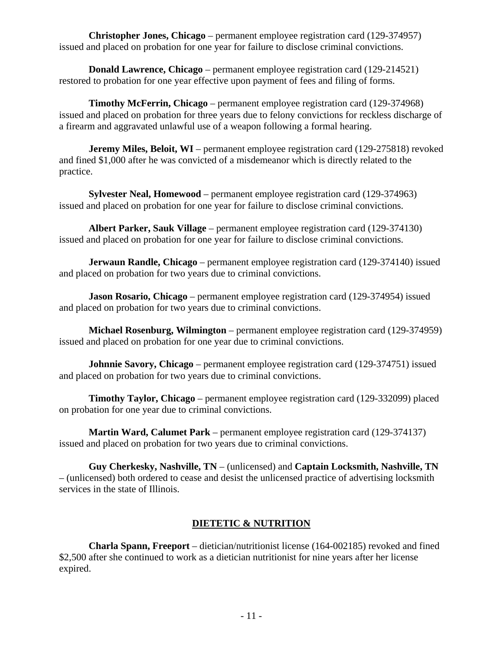**Christopher Jones, Chicago** – permanent employee registration card (129-374957) issued and placed on probation for one year for failure to disclose criminal convictions.

**Donald Lawrence, Chicago** – permanent employee registration card (129-214521) restored to probation for one year effective upon payment of fees and filing of forms.

**Timothy McFerrin, Chicago** – permanent employee registration card (129-374968) issued and placed on probation for three years due to felony convictions for reckless discharge of a firearm and aggravated unlawful use of a weapon following a formal hearing.

**Jeremy Miles, Beloit, WI** – permanent employee registration card (129-275818) revoked and fined \$1,000 after he was convicted of a misdemeanor which is directly related to the practice.

**Sylvester Neal, Homewood** – permanent employee registration card (129-374963) issued and placed on probation for one year for failure to disclose criminal convictions.

**Albert Parker, Sauk Village** – permanent employee registration card (129-374130) issued and placed on probation for one year for failure to disclose criminal convictions.

**Jerwaun Randle, Chicago** – permanent employee registration card (129-374140) issued and placed on probation for two years due to criminal convictions.

**Jason Rosario, Chicago** – permanent employee registration card (129-374954) issued and placed on probation for two years due to criminal convictions.

**Michael Rosenburg, Wilmington** – permanent employee registration card (129-374959) issued and placed on probation for one year due to criminal convictions.

**Johnnie Savory, Chicago** – permanent employee registration card (129-374751) issued and placed on probation for two years due to criminal convictions.

**Timothy Taylor, Chicago** – permanent employee registration card (129-332099) placed on probation for one year due to criminal convictions.

**Martin Ward, Calumet Park** – permanent employee registration card (129-374137) issued and placed on probation for two years due to criminal convictions.

**Guy Cherkesky, Nashville, TN** – (unlicensed) and **Captain Locksmith, Nashville, TN** – (unlicensed) both ordered to cease and desist the unlicensed practice of advertising locksmith services in the state of Illinois.

# **DIETETIC & NUTRITION**

**Charla Spann, Freeport** – dietician/nutritionist license (164-002185) revoked and fined \$2,500 after she continued to work as a dietician nutritionist for nine years after her license expired.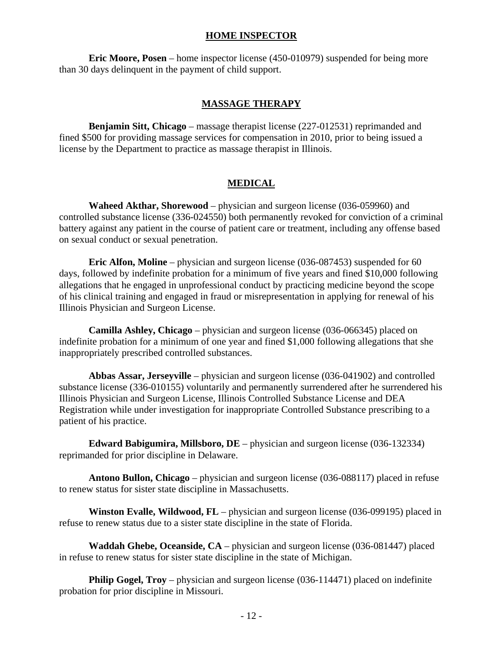#### **HOME INSPECTOR**

**Eric Moore, Posen** – home inspector license (450-010979) suspended for being more than 30 days delinquent in the payment of child support.

### **MASSAGE THERAPY**

**Benjamin Sitt, Chicago** – massage therapist license (227-012531) reprimanded and fined \$500 for providing massage services for compensation in 2010, prior to being issued a license by the Department to practice as massage therapist in Illinois.

# **MEDICAL**

**Waheed Akthar, Shorewood** – physician and surgeon license (036-059960) and controlled substance license (336-024550) both permanently revoked for conviction of a criminal battery against any patient in the course of patient care or treatment, including any offense based on sexual conduct or sexual penetration.

**Eric Alfon, Moline** – physician and surgeon license (036-087453) suspended for 60 days, followed by indefinite probation for a minimum of five years and fined \$10,000 following allegations that he engaged in unprofessional conduct by practicing medicine beyond the scope of his clinical training and engaged in fraud or misrepresentation in applying for renewal of his Illinois Physician and Surgeon License.

**Camilla Ashley, Chicago** – physician and surgeon license (036-066345) placed on indefinite probation for a minimum of one year and fined \$1,000 following allegations that she inappropriately prescribed controlled substances.

**Abbas Assar, Jerseyville** – physician and surgeon license (036-041902) and controlled substance license (336-010155) voluntarily and permanently surrendered after he surrendered his Illinois Physician and Surgeon License, Illinois Controlled Substance License and DEA Registration while under investigation for inappropriate Controlled Substance prescribing to a patient of his practice.

**Edward Babigumira, Millsboro, DE** – physician and surgeon license (036-132334) reprimanded for prior discipline in Delaware.

**Antono Bullon, Chicago** – physician and surgeon license (036-088117) placed in refuse to renew status for sister state discipline in Massachusetts.

**Winston Evalle, Wildwood, FL** – physician and surgeon license (036-099195) placed in refuse to renew status due to a sister state discipline in the state of Florida.

**Waddah Ghebe, Oceanside, CA** – physician and surgeon license (036-081447) placed in refuse to renew status for sister state discipline in the state of Michigan.

**Philip Gogel, Troy** – physician and surgeon license (036-114471) placed on indefinite probation for prior discipline in Missouri.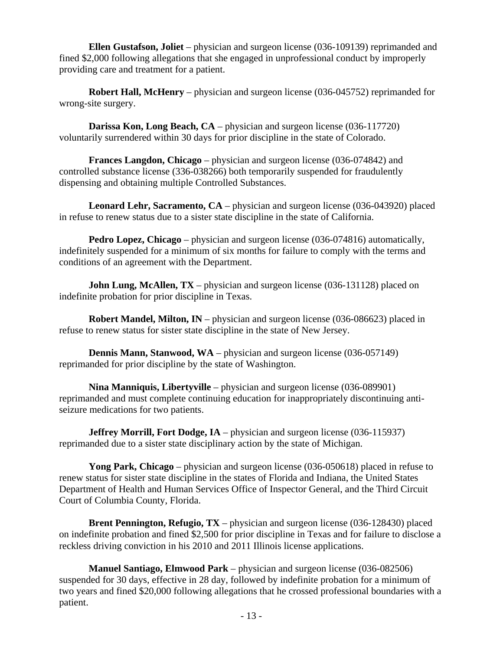**Ellen Gustafson, Joliet** – physician and surgeon license (036-109139) reprimanded and fined \$2,000 following allegations that she engaged in unprofessional conduct by improperly providing care and treatment for a patient.

**Robert Hall, McHenry** – physician and surgeon license (036-045752) reprimanded for wrong-site surgery.

**Darissa Kon, Long Beach, CA** – physician and surgeon license (036-117720) voluntarily surrendered within 30 days for prior discipline in the state of Colorado.

**Frances Langdon, Chicago** – physician and surgeon license (036-074842) and controlled substance license (336-038266) both temporarily suspended for fraudulently dispensing and obtaining multiple Controlled Substances.

**Leonard Lehr, Sacramento, CA** – physician and surgeon license (036-043920) placed in refuse to renew status due to a sister state discipline in the state of California.

**Pedro Lopez, Chicago** – physician and surgeon license (036-074816) automatically, indefinitely suspended for a minimum of six months for failure to comply with the terms and conditions of an agreement with the Department.

**John Lung, McAllen, TX** – physician and surgeon license (036-131128) placed on indefinite probation for prior discipline in Texas.

**Robert Mandel, Milton, IN** – physician and surgeon license (036-086623) placed in refuse to renew status for sister state discipline in the state of New Jersey.

**Dennis Mann, Stanwood, WA** – physician and surgeon license (036-057149) reprimanded for prior discipline by the state of Washington.

**Nina Manniquis, Libertyville** – physician and surgeon license (036-089901) reprimanded and must complete continuing education for inappropriately discontinuing antiseizure medications for two patients.

**Jeffrey Morrill, Fort Dodge, IA** – physician and surgeon license (036-115937) reprimanded due to a sister state disciplinary action by the state of Michigan.

**Yong Park, Chicago** – physician and surgeon license (036-050618) placed in refuse to renew status for sister state discipline in the states of Florida and Indiana, the United States Department of Health and Human Services Office of Inspector General, and the Third Circuit Court of Columbia County, Florida.

**Brent Pennington, Refugio, TX** – physician and surgeon license (036-128430) placed on indefinite probation and fined \$2,500 for prior discipline in Texas and for failure to disclose a reckless driving conviction in his 2010 and 2011 Illinois license applications.

**Manuel Santiago, Elmwood Park** – physician and surgeon license (036-082506) suspended for 30 days, effective in 28 day, followed by indefinite probation for a minimum of two years and fined \$20,000 following allegations that he crossed professional boundaries with a patient.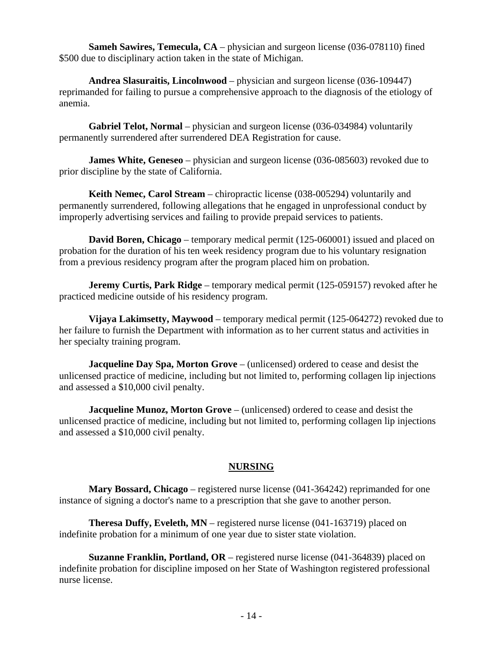**Sameh Sawires, Temecula, CA** – physician and surgeon license (036-078110) fined \$500 due to disciplinary action taken in the state of Michigan.

**Andrea Slasuraitis, Lincolnwood** – physician and surgeon license (036-109447) reprimanded for failing to pursue a comprehensive approach to the diagnosis of the etiology of anemia.

**Gabriel Telot, Normal** – physician and surgeon license (036-034984) voluntarily permanently surrendered after surrendered DEA Registration for cause.

**James White, Geneseo** – physician and surgeon license (036-085603) revoked due to prior discipline by the state of California.

**Keith Nemec, Carol Stream** – chiropractic license (038-005294) voluntarily and permanently surrendered, following allegations that he engaged in unprofessional conduct by improperly advertising services and failing to provide prepaid services to patients.

**David Boren, Chicago** – temporary medical permit (125-060001) issued and placed on probation for the duration of his ten week residency program due to his voluntary resignation from a previous residency program after the program placed him on probation.

**Jeremy Curtis, Park Ridge** – temporary medical permit (125-059157) revoked after he practiced medicine outside of his residency program.

**Vijaya Lakimsetty, Maywood** – temporary medical permit (125-064272) revoked due to her failure to furnish the Department with information as to her current status and activities in her specialty training program.

**Jacqueline Day Spa, Morton Grove** – (unlicensed) ordered to cease and desist the unlicensed practice of medicine, including but not limited to, performing collagen lip injections and assessed a \$10,000 civil penalty.

**Jacqueline Munoz, Morton Grove** – (unlicensed) ordered to cease and desist the unlicensed practice of medicine, including but not limited to, performing collagen lip injections and assessed a \$10,000 civil penalty.

# **NURSING**

**Mary Bossard, Chicago** – registered nurse license (041-364242) reprimanded for one instance of signing a doctor's name to a prescription that she gave to another person.

**Theresa Duffy, Eveleth, MN** – registered nurse license (041-163719) placed on indefinite probation for a minimum of one year due to sister state violation.

**Suzanne Franklin, Portland, OR** – registered nurse license (041-364839) placed on indefinite probation for discipline imposed on her State of Washington registered professional nurse license.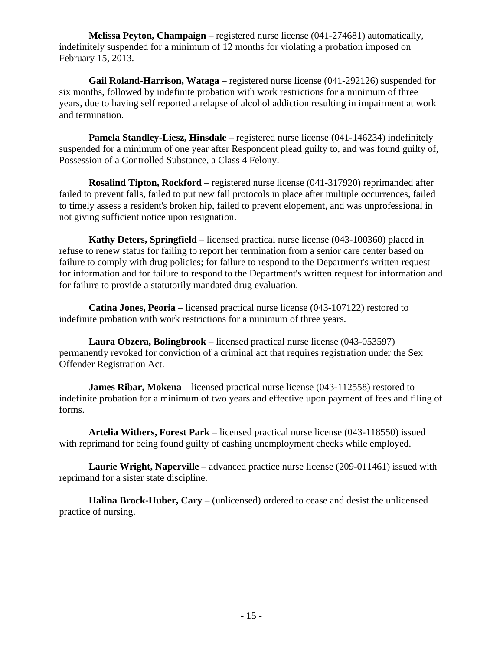**Melissa Peyton, Champaign** – registered nurse license (041-274681) automatically, indefinitely suspended for a minimum of 12 months for violating a probation imposed on February 15, 2013.

**Gail Roland-Harrison, Wataga** – registered nurse license (041-292126) suspended for six months, followed by indefinite probation with work restrictions for a minimum of three years, due to having self reported a relapse of alcohol addiction resulting in impairment at work and termination.

**Pamela Standley-Liesz, Hinsdale** – registered nurse license (041-146234) indefinitely suspended for a minimum of one year after Respondent plead guilty to, and was found guilty of, Possession of a Controlled Substance, a Class 4 Felony.

**Rosalind Tipton, Rockford** – registered nurse license (041-317920) reprimanded after failed to prevent falls, failed to put new fall protocols in place after multiple occurrences, failed to timely assess a resident's broken hip, failed to prevent elopement, and was unprofessional in not giving sufficient notice upon resignation.

**Kathy Deters, Springfield** – licensed practical nurse license (043-100360) placed in refuse to renew status for failing to report her termination from a senior care center based on failure to comply with drug policies; for failure to respond to the Department's written request for information and for failure to respond to the Department's written request for information and for failure to provide a statutorily mandated drug evaluation.

**Catina Jones, Peoria** – licensed practical nurse license (043-107122) restored to indefinite probation with work restrictions for a minimum of three years.

**Laura Obzera, Bolingbrook** – licensed practical nurse license (043-053597) permanently revoked for conviction of a criminal act that requires registration under the Sex Offender Registration Act.

**James Ribar, Mokena** – licensed practical nurse license (043-112558) restored to indefinite probation for a minimum of two years and effective upon payment of fees and filing of forms.

**Artelia Withers, Forest Park** – licensed practical nurse license (043-118550) issued with reprimand for being found guilty of cashing unemployment checks while employed.

**Laurie Wright, Naperville** – advanced practice nurse license (209-011461) issued with reprimand for a sister state discipline.

**Halina Brock-Huber, Cary** – (unlicensed) ordered to cease and desist the unlicensed practice of nursing.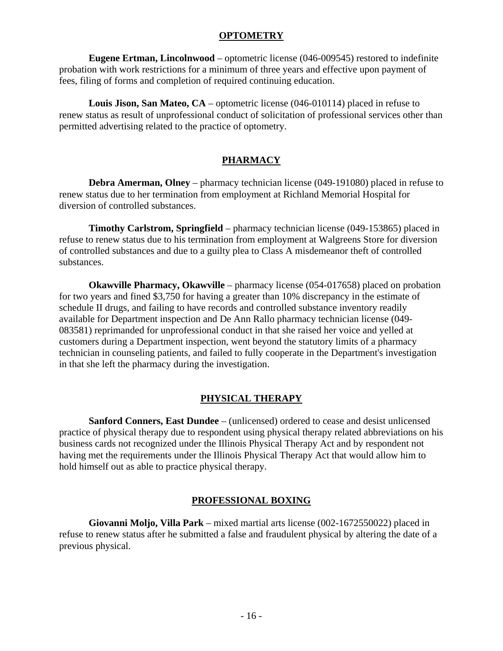#### **OPTOMETRY**

**Eugene Ertman, Lincolnwood** – optometric license (046-009545) restored to indefinite probation with work restrictions for a minimum of three years and effective upon payment of fees, filing of forms and completion of required continuing education.

**Louis Jison, San Mateo, CA** – optometric license (046-010114) placed in refuse to renew status as result of unprofessional conduct of solicitation of professional services other than permitted advertising related to the practice of optometry.

## **PHARMACY**

**Debra Amerman, Olney** – pharmacy technician license (049-191080) placed in refuse to renew status due to her termination from employment at Richland Memorial Hospital for diversion of controlled substances.

**Timothy Carlstrom, Springfield** – pharmacy technician license (049-153865) placed in refuse to renew status due to his termination from employment at Walgreens Store for diversion of controlled substances and due to a guilty plea to Class A misdemeanor theft of controlled substances.

**Okawville Pharmacy, Okawville** – pharmacy license (054-017658) placed on probation for two years and fined \$3,750 for having a greater than 10% discrepancy in the estimate of schedule II drugs, and failing to have records and controlled substance inventory readily available for Department inspection and De Ann Rallo pharmacy technician license (049- 083581) reprimanded for unprofessional conduct in that she raised her voice and yelled at customers during a Department inspection, went beyond the statutory limits of a pharmacy technician in counseling patients, and failed to fully cooperate in the Department's investigation in that she left the pharmacy during the investigation.

# **PHYSICAL THERAPY**

**Sanford Conners, East Dundee** – (unlicensed) ordered to cease and desist unlicensed practice of physical therapy due to respondent using physical therapy related abbreviations on his business cards not recognized under the Illinois Physical Therapy Act and by respondent not having met the requirements under the Illinois Physical Therapy Act that would allow him to hold himself out as able to practice physical therapy.

### **PROFESSIONAL BOXING**

**Giovanni Moljo, Villa Park** – mixed martial arts license (002-1672550022) placed in refuse to renew status after he submitted a false and fraudulent physical by altering the date of a previous physical.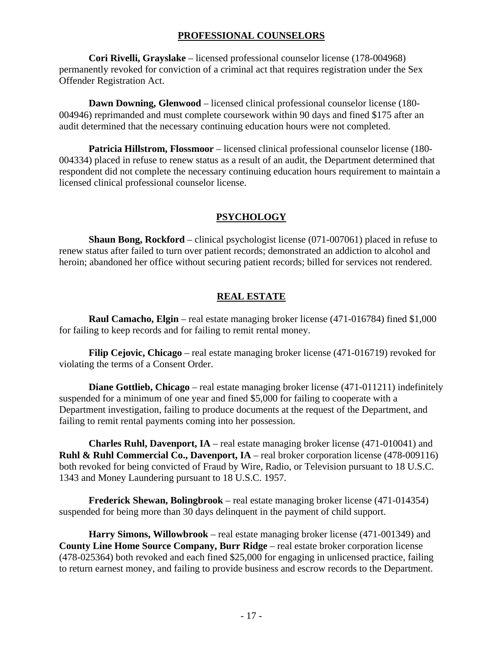### **PROFESSIONAL COUNSELORS**

**Cori Rivelli, Grayslake** – licensed professional counselor license (178-004968) permanently revoked for conviction of a criminal act that requires registration under the Sex Offender Registration Act.

**Dawn Downing, Glenwood** – licensed clinical professional counselor license (180- 004946) reprimanded and must complete coursework within 90 days and fined \$175 after an audit determined that the necessary continuing education hours were not completed.

**Patricia Hillstrom, Flossmoor** – licensed clinical professional counselor license (180- 004334) placed in refuse to renew status as a result of an audit, the Department determined that respondent did not complete the necessary continuing education hours requirement to maintain a licensed clinical professional counselor license.

# **PSYCHOLOGY**

**Shaun Bong, Rockford** – clinical psychologist license (071-007061) placed in refuse to renew status after failed to turn over patient records; demonstrated an addiction to alcohol and heroin; abandoned her office without securing patient records; billed for services not rendered.

# **REAL ESTATE**

**Raul Camacho, Elgin** – real estate managing broker license (471-016784) fined \$1,000 for failing to keep records and for failing to remit rental money.

**Filip Cejovic, Chicago** – real estate managing broker license (471-016719) revoked for violating the terms of a Consent Order.

**Diane Gottlieb, Chicago** – real estate managing broker license (471-011211) indefinitely suspended for a minimum of one year and fined \$5,000 for failing to cooperate with a Department investigation, failing to produce documents at the request of the Department, and failing to remit rental payments coming into her possession.

**Charles Ruhl, Davenport, IA** – real estate managing broker license (471-010041) and **Ruhl & Ruhl Commercial Co., Davenport, IA** – real broker corporation license (478-009116) both revoked for being convicted of Fraud by Wire, Radio, or Television pursuant to 18 U.S.C. 1343 and Money Laundering pursuant to 18 U.S.C. 1957.

**Frederick Shewan, Bolingbrook** – real estate managing broker license (471-014354) suspended for being more than 30 days delinquent in the payment of child support.

**Harry Simons, Willowbrook** – real estate managing broker license (471-001349) and **County Line Home Source Company, Burr Ridge** – real estate broker corporation license (478-025364) both revoked and each fined \$25,000 for engaging in unlicensed practice, failing to return earnest money, and failing to provide business and escrow records to the Department.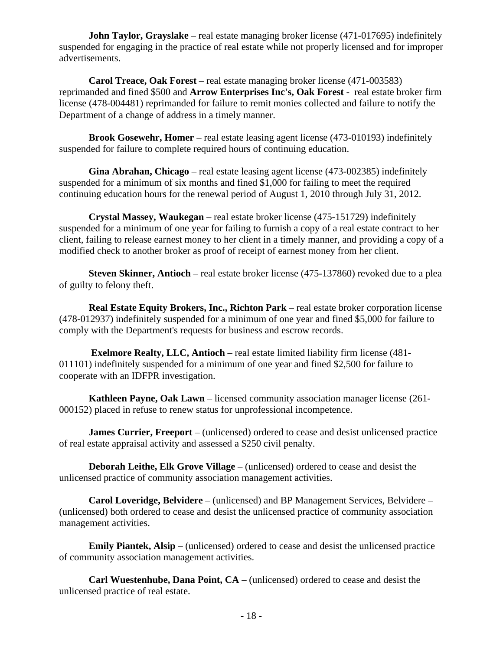**John Taylor, Grayslake** – real estate managing broker license (471-017695) indefinitely suspended for engaging in the practice of real estate while not properly licensed and for improper advertisements.

**Carol Treace, Oak Forest** – real estate managing broker license (471-003583) reprimanded and fined \$500 and **Arrow Enterprises Inc's, Oak Forest** - real estate broker firm license (478-004481) reprimanded for failure to remit monies collected and failure to notify the Department of a change of address in a timely manner.

**Brook Gosewehr, Homer** – real estate leasing agent license (473-010193) indefinitely suspended for failure to complete required hours of continuing education.

**Gina Abrahan, Chicago** – real estate leasing agent license (473-002385) indefinitely suspended for a minimum of six months and fined \$1,000 for failing to meet the required continuing education hours for the renewal period of August 1, 2010 through July 31, 2012.

**Crystal Massey, Waukegan** – real estate broker license (475-151729) indefinitely suspended for a minimum of one year for failing to furnish a copy of a real estate contract to her client, failing to release earnest money to her client in a timely manner, and providing a copy of a modified check to another broker as proof of receipt of earnest money from her client.

**Steven Skinner, Antioch** – real estate broker license (475-137860) revoked due to a plea of guilty to felony theft.

**Real Estate Equity Brokers, Inc., Richton Park** – real estate broker corporation license (478-012937) indefinitely suspended for a minimum of one year and fined \$5,000 for failure to comply with the Department's requests for business and escrow records.

**Exelmore Realty, LLC, Antioch** – real estate limited liability firm license (481- 011101) indefinitely suspended for a minimum of one year and fined \$2,500 for failure to cooperate with an IDFPR investigation.

**Kathleen Payne, Oak Lawn** – licensed community association manager license (261- 000152) placed in refuse to renew status for unprofessional incompetence.

**James Currier, Freeport** – (unlicensed) ordered to cease and desist unlicensed practice of real estate appraisal activity and assessed a \$250 civil penalty.

**Deborah Leithe, Elk Grove Village** – (unlicensed) ordered to cease and desist the unlicensed practice of community association management activities.

**Carol Loveridge, Belvidere** – (unlicensed) and BP Management Services, Belvidere – (unlicensed) both ordered to cease and desist the unlicensed practice of community association management activities.

**Emily Piantek, Alsip** – (unlicensed) ordered to cease and desist the unlicensed practice of community association management activities.

**Carl Wuestenhube, Dana Point, CA** – (unlicensed) ordered to cease and desist the unlicensed practice of real estate.